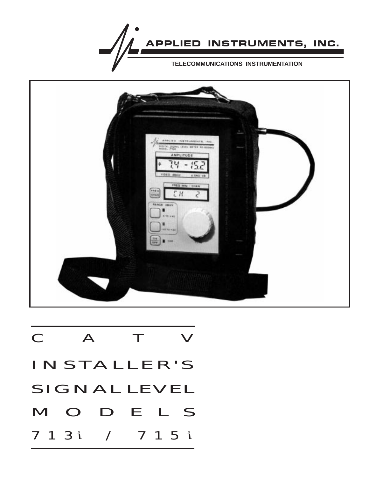